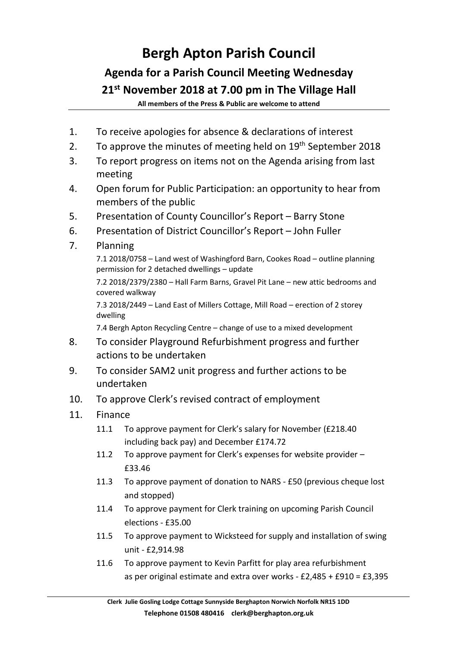## **Bergh Apton Parish Council Agenda for a Parish Council Meeting Wednesday 21st November 2018 at 7.00 pm in The Village Hall**

**All members of the Press & Public are welcome to attend**

- 1. To receive apologies for absence & declarations of interest
- 2. To approve the minutes of meeting held on  $19<sup>th</sup>$  September 2018
- 3. To report progress on items not on the Agenda arising from last meeting
- 4. Open forum for Public Participation: an opportunity to hear from members of the public
- 5. Presentation of County Councillor's Report Barry Stone
- 6. Presentation of District Councillor's Report John Fuller

## 7. Planning

7.1 2018/0758 – Land west of Washingford Barn, Cookes Road – outline planning permission for 2 detached dwellings – update

7.2 2018/2379/2380 – Hall Farm Barns, Gravel Pit Lane – new attic bedrooms and covered walkway

7.3 2018/2449 – Land East of Millers Cottage, Mill Road – erection of 2 storey dwelling

7.4 Bergh Apton Recycling Centre – change of use to a mixed development

- 8. To consider Playground Refurbishment progress and further actions to be undertaken
- 9. To consider SAM2 unit progress and further actions to be undertaken
- 10. To approve Clerk's revised contract of employment
- 11. Finance
	- 11.1 To approve payment for Clerk's salary for November (£218.40 including back pay) and December £174.72
	- 11.2 To approve payment for Clerk's expenses for website provider £33.46
	- 11.3 To approve payment of donation to NARS £50 (previous cheque lost and stopped)
	- 11.4 To approve payment for Clerk training on upcoming Parish Council elections - £35.00
	- 11.5 To approve payment to Wicksteed for supply and installation of swing unit - £2,914.98
	- 11.6 To approve payment to Kevin Parfitt for play area refurbishment as per original estimate and extra over works - £2,485 + £910 = £3,395